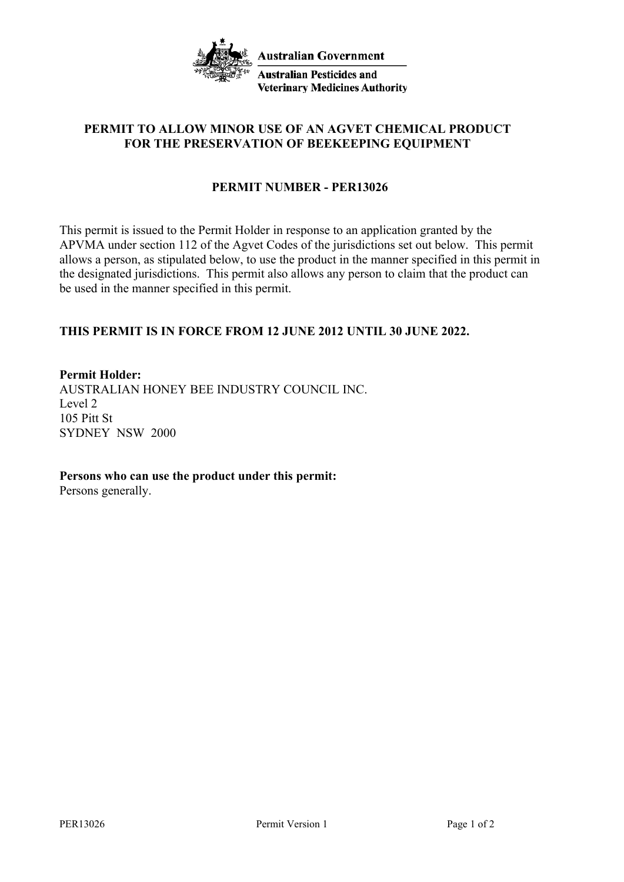

# **PERMIT TO ALLOW MINOR USE OF AN AGVET CHEMICAL PRODUCT FOR THE PRESERVATION OF BEEKEEPING EQUIPMENT**

# **PERMIT NUMBER - PER13026**

This permit is issued to the Permit Holder in response to an application granted by the APVMA under section 112 of the Agvet Codes of the jurisdictions set out below. This permit allows a person, as stipulated below, to use the product in the manner specified in this permit in the designated jurisdictions. This permit also allows any person to claim that the product can be used in the manner specified in this permit.

# **THIS PERMIT IS IN FORCE FROM 12 JUNE 2012 UNTIL 30 JUNE 2022.**

**Permit Holder:**

AUSTRALIAN HONEY BEE INDUSTRY COUNCIL INC. Level 2 105 Pitt St SYDNEY NSW 2000

**Persons who can use the product under this permit:**

Persons generally.